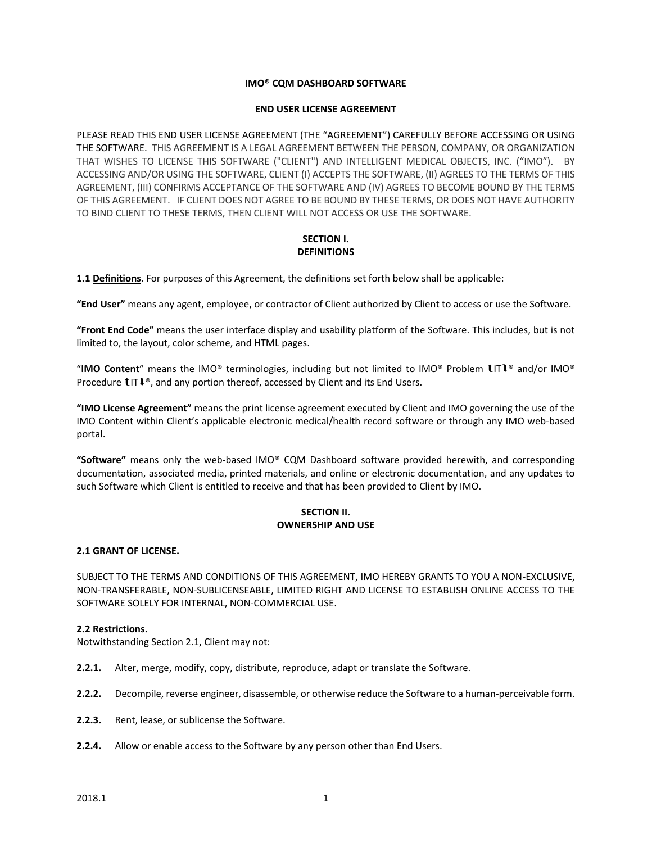#### **IMO® CQM DASHBOARD SOFTWARE**

#### **END USER LICENSE AGREEMENT**

PLEASE READ THIS END USER LICENSE AGREEMENT (THE "AGREEMENT") CAREFULLY BEFORE ACCESSING OR USING THE SOFTWARE. THIS AGREEMENT IS A LEGAL AGREEMENT BETWEEN THE PERSON, COMPANY, OR ORGANIZATION THAT WISHES TO LICENSE THIS SOFTWARE ("CLIENT") AND INTELLIGENT MEDICAL OBJECTS, INC. ("IMO"). BY ACCESSING AND/OR USING THE SOFTWARE, CLIENT (I) ACCEPTS THE SOFTWARE, (II) AGREES TO THE TERMS OF THIS AGREEMENT, (III) CONFIRMS ACCEPTANCE OF THE SOFTWARE AND (IV) AGREES TO BECOME BOUND BY THE TERMS OF THIS AGREEMENT. IF CLIENT DOES NOT AGREE TO BE BOUND BY THESE TERMS, OR DOES NOT HAVE AUTHORITY TO BIND CLIENT TO THESE TERMS, THEN CLIENT WILL NOT ACCESS OR USE THE SOFTWARE.

#### **SECTION I. DEFINITIONS**

**1.1 Definitions**. For purposes of this Agreement, the definitions set forth below shall be applicable:

**"End User"** means any agent, employee, or contractor of Client authorized by Client to access or use the Software.

**"Front End Code"** means the user interface display and usability platform of the Software. This includes, but is not limited to, the layout, color scheme, and HTML pages.

"**IMO Content**" means the IMO® terminologies, including but not limited to IMO® Problem IT® and/or IMO® Procedure  $\text{LTI}^{\circ}$ , and any portion thereof, accessed by Client and its End Users.

**"IMO License Agreement"** means the print license agreement executed by Client and IMO governing the use of the IMO Content within Client's applicable electronic medical/health record software or through any IMO web-based portal.

**"Software"** means only the web-based IMO® CQM Dashboard software provided herewith, and corresponding documentation, associated media, printed materials, and online or electronic documentation, and any updates to such Software which Client is entitled to receive and that has been provided to Client by IMO.

## **SECTION II. OWNERSHIP AND USE**

#### **2.1 GRANT OF LICENSE.**

SUBJECT TO THE TERMS AND CONDITIONS OF THIS AGREEMENT, IMO HEREBY GRANTS TO YOU A NON-EXCLUSIVE, NON-TRANSFERABLE, NON-SUBLICENSEABLE, LIMITED RIGHT AND LICENSE TO ESTABLISH ONLINE ACCESS TO THE SOFTWARE SOLELY FOR INTERNAL, NON-COMMERCIAL USE.

## **2.2 Restrictions.**

Notwithstanding Section 2.1, Client may not:

- **2.2.1.** Alter, merge, modify, copy, distribute, reproduce, adapt or translate the Software.
- **2.2.2.** Decompile, reverse engineer, disassemble, or otherwise reduce the Software to a human-perceivable form.
- **2.2.3.** Rent, lease, or sublicense the Software.
- **2.2.4.** Allow or enable access to the Software by any person other than End Users.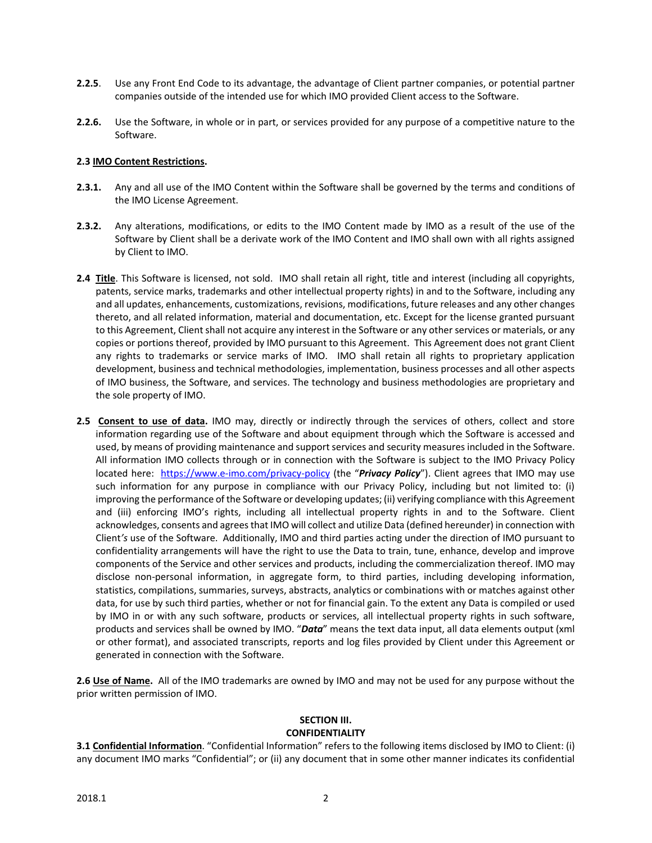- **2.2.5**. Use any Front End Code to its advantage, the advantage of Client partner companies, or potential partner companies outside of the intended use for which IMO provided Client access to the Software.
- **2.2.6.** Use the Software, in whole or in part, or services provided for any purpose of a competitive nature to the Software.

## **2.3 IMO Content Restrictions.**

- **2.3.1.** Any and all use of the IMO Content within the Software shall be governed by the terms and conditions of the IMO License Agreement.
- **2.3.2.** Any alterations, modifications, or edits to the IMO Content made by IMO as a result of the use of the Software by Client shall be a derivate work of the IMO Content and IMO shall own with all rights assigned by Client to IMO.
- **2.4 Title**. This Software is licensed, not sold. IMO shall retain all right, title and interest (including all copyrights, patents, service marks, trademarks and other intellectual property rights) in and to the Software, including any and all updates, enhancements, customizations, revisions, modifications, future releases and any other changes thereto, and all related information, material and documentation, etc. Except for the license granted pursuant to this Agreement, Client shall not acquire any interest in the Software or any other services or materials, or any copies or portions thereof, provided by IMO pursuant to this Agreement. This Agreement does not grant Client any rights to trademarks or service marks of IMO. IMO shall retain all rights to proprietary application development, business and technical methodologies, implementation, business processes and all other aspects of IMO business, the Software, and services. The technology and business methodologies are proprietary and the sole property of IMO.
- **2.5 Consent to use of data.** IMO may, directly or indirectly through the services of others, collect and store information regarding use of the Software and about equipment through which the Software is accessed and used, by means of providing maintenance and support services and security measures included in the Software. All information IMO collects through or in connection with the Software is subject to the IMO Privacy Policy located here: <https://www.e-imo.com/privacy-policy> (the "Privacy Policy"). Client agrees that IMO may use such information for any purpose in compliance with our Privacy Policy, including but not limited to: (i) improving the performance of the Software or developing updates; (ii) verifying compliance with this Agreement and (iii) enforcing IMO's rights, including all intellectual property rights in and to the Software. Client acknowledges, consents and agrees that IMO will collect and utilize Data (defined hereunder) in connection with Client*'s* use of the Software. Additionally, IMO and third parties acting under the direction of IMO pursuant to confidentiality arrangements will have the right to use the Data to train, tune, enhance, develop and improve components of the Service and other services and products, including the commercialization thereof. IMO may disclose non-personal information, in aggregate form, to third parties, including developing information, statistics, compilations, summaries, surveys, abstracts, analytics or combinations with or matches against other data, for use by such third parties, whether or not for financial gain. To the extent any Data is compiled or used by IMO in or with any such software, products or services, all intellectual property rights in such software, products and services shall be owned by IMO. "*Data*" means the text data input, all data elements output (xml or other format), and associated transcripts, reports and log files provided by Client under this Agreement or generated in connection with the Software.

**2.6 Use of Name.** All of the IMO trademarks are owned by IMO and may not be used for any purpose without the prior written permission of IMO.

# **SECTION III.**

#### **CONFIDENTIALITY**

**3.1 Confidential Information**. "Confidential Information" refers to the following items disclosed by IMO to Client: (i) any document IMO marks "Confidential"; or (ii) any document that in some other manner indicates its confidential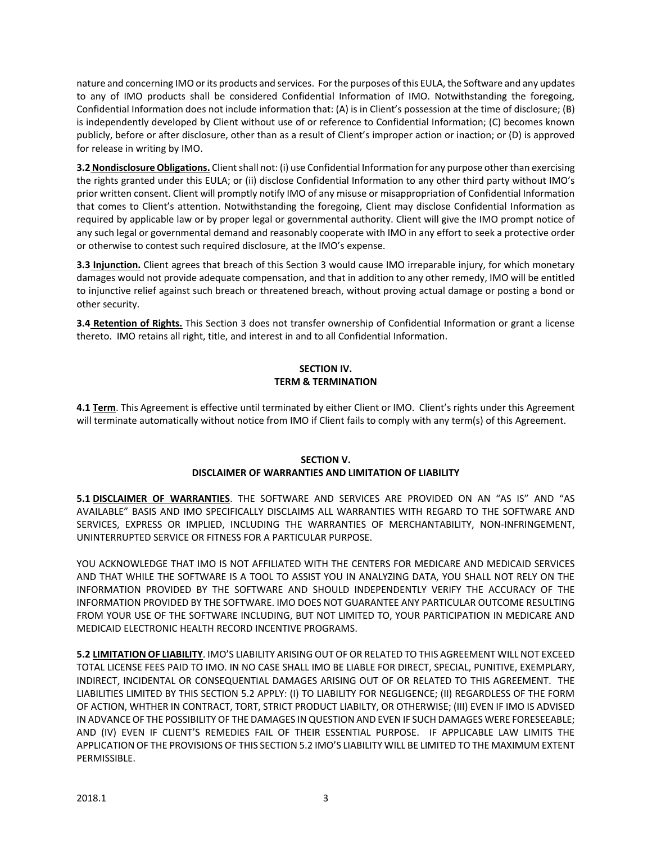nature and concerning IMO or its products and services. For the purposes of this EULA, the Software and any updates to any of IMO products shall be considered Confidential Information of IMO. Notwithstanding the foregoing, Confidential Information does not include information that: (A) is in Client's possession at the time of disclosure; (B) is independently developed by Client without use of or reference to Confidential Information; (C) becomes known publicly, before or after disclosure, other than as a result of Client's improper action or inaction; or (D) is approved for release in writing by IMO.

**3.2 Nondisclosure Obligations.** Client shall not: (i) use Confidential Information for any purpose other than exercising the rights granted under this EULA; or (ii) disclose Confidential Information to any other third party without IMO's prior written consent. Client will promptly notify IMO of any misuse or misappropriation of Confidential Information that comes to Client's attention. Notwithstanding the foregoing, Client may disclose Confidential Information as required by applicable law or by proper legal or governmental authority. Client will give the IMO prompt notice of any such legal or governmental demand and reasonably cooperate with IMO in any effort to seek a protective order or otherwise to contest such required disclosure, at the IMO's expense.

**3.3 Injunction.** Client agrees that breach of this Section 3 would cause IMO irreparable injury, for which monetary damages would not provide adequate compensation, and that in addition to any other remedy, IMO will be entitled to injunctive relief against such breach or threatened breach, without proving actual damage or posting a bond or other security.

**3.4 Retention of Rights.** This Section 3 does not transfer ownership of Confidential Information or grant a license thereto. IMO retains all right, title, and interest in and to all Confidential Information.

# **SECTION IV. TERM & TERMINATION**

**4.1 Term**. This Agreement is effective until terminated by either Client or IMO. Client's rights under this Agreement will terminate automatically without notice from IMO if Client fails to comply with any term(s) of this Agreement.

## **SECTION V. DISCLAIMER OF WARRANTIES AND LIMITATION OF LIABILITY**

**5.1 DISCLAIMER OF WARRANTIES**. THE SOFTWARE AND SERVICES ARE PROVIDED ON AN "AS IS" AND "AS AVAILABLE" BASIS AND IMO SPECIFICALLY DISCLAIMS ALL WARRANTIES WITH REGARD TO THE SOFTWARE AND SERVICES, EXPRESS OR IMPLIED, INCLUDING THE WARRANTIES OF MERCHANTABILITY, NON-INFRINGEMENT, UNINTERRUPTED SERVICE OR FITNESS FOR A PARTICULAR PURPOSE.

YOU ACKNOWLEDGE THAT IMO IS NOT AFFILIATED WITH THE CENTERS FOR MEDICARE AND MEDICAID SERVICES AND THAT WHILE THE SOFTWARE IS A TOOL TO ASSIST YOU IN ANALYZING DATA, YOU SHALL NOT RELY ON THE INFORMATION PROVIDED BY THE SOFTWARE AND SHOULD INDEPENDENTLY VERIFY THE ACCURACY OF THE INFORMATION PROVIDED BY THE SOFTWARE. IMO DOES NOT GUARANTEE ANY PARTICULAR OUTCOME RESULTING FROM YOUR USE OF THE SOFTWARE INCLUDING, BUT NOT LIMITED TO, YOUR PARTICIPATION IN MEDICARE AND MEDICAID ELECTRONIC HEALTH RECORD INCENTIVE PROGRAMS.

**5.2 LIMITATION OF LIABILITY**. IMO'S LIABILITY ARISING OUT OF OR RELATED TO THIS AGREEMENT WILL NOT EXCEED TOTAL LICENSE FEES PAID TO IMO. IN NO CASE SHALL IMO BE LIABLE FOR DIRECT, SPECIAL, PUNITIVE, EXEMPLARY, INDIRECT, INCIDENTAL OR CONSEQUENTIAL DAMAGES ARISING OUT OF OR RELATED TO THIS AGREEMENT. THE LIABILITIES LIMITED BY THIS SECTION 5.2 APPLY: (I) TO LIABILITY FOR NEGLIGENCE; (II) REGARDLESS OF THE FORM OF ACTION, WHTHER IN CONTRACT, TORT, STRICT PRODUCT LIABILTY, OR OTHERWISE; (III) EVEN IF IMO IS ADVISED IN ADVANCE OF THE POSSIBILITY OF THE DAMAGES IN QUESTION AND EVEN IF SUCH DAMAGES WERE FORESEEABLE; AND (IV) EVEN IF CLIENT'S REMEDIES FAIL OF THEIR ESSENTIAL PURPOSE. IF APPLICABLE LAW LIMITS THE APPLICATION OF THE PROVISIONS OF THIS SECTION 5.2 IMO'S LIABILITY WILL BE LIMITED TO THE MAXIMUM EXTENT PERMISSIBLE.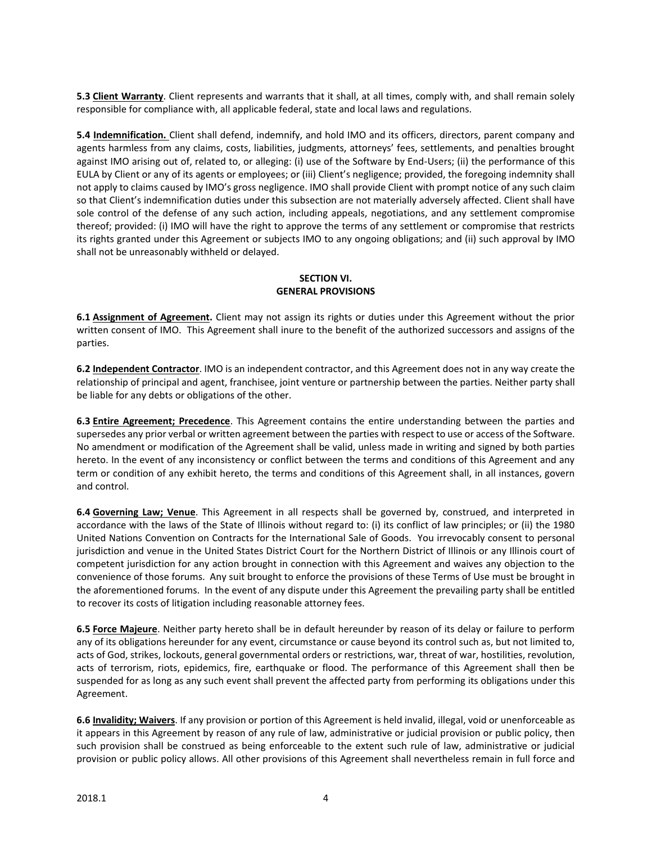**5.3 Client Warranty**. Client represents and warrants that it shall, at all times, comply with, and shall remain solely responsible for compliance with, all applicable federal, state and local laws and regulations.

**5.4 Indemnification.** Client shall defend, indemnify, and hold IMO and its officers, directors, parent company and agents harmless from any claims, costs, liabilities, judgments, attorneys' fees, settlements, and penalties brought against IMO arising out of, related to, or alleging: (i) use of the Software by End-Users; (ii) the performance of this EULA by Client or any of its agents or employees; or (iii) Client's negligence; provided, the foregoing indemnity shall not apply to claims caused by IMO's gross negligence. IMO shall provide Client with prompt notice of any such claim so that Client's indemnification duties under this subsection are not materially adversely affected. Client shall have sole control of the defense of any such action, including appeals, negotiations, and any settlement compromise thereof; provided: (i) IMO will have the right to approve the terms of any settlement or compromise that restricts its rights granted under this Agreement or subjects IMO to any ongoing obligations; and (ii) such approval by IMO shall not be unreasonably withheld or delayed.

# **SECTION VI. GENERAL PROVISIONS**

**6.1 Assignment of Agreement.** Client may not assign its rights or duties under this Agreement without the prior written consent of IMO. This Agreement shall inure to the benefit of the authorized successors and assigns of the parties.

**6.2 Independent Contractor**. IMO is an independent contractor, and this Agreement does not in any way create the relationship of principal and agent, franchisee, joint venture or partnership between the parties. Neither party shall be liable for any debts or obligations of the other.

**6.3 Entire Agreement; Precedence**. This Agreement contains the entire understanding between the parties and supersedes any prior verbal or written agreement between the parties with respect to use or access of the Software. No amendment or modification of the Agreement shall be valid, unless made in writing and signed by both parties hereto. In the event of any inconsistency or conflict between the terms and conditions of this Agreement and any term or condition of any exhibit hereto, the terms and conditions of this Agreement shall, in all instances, govern and control.

**6.4 Governing Law; Venue**. This Agreement in all respects shall be governed by, construed, and interpreted in accordance with the laws of the State of Illinois without regard to: (i) its conflict of law principles; or (ii) the 1980 United Nations Convention on Contracts for the International Sale of Goods. You irrevocably consent to personal jurisdiction and venue in the United States District Court for the Northern District of Illinois or any Illinois court of competent jurisdiction for any action brought in connection with this Agreement and waives any objection to the convenience of those forums. Any suit brought to enforce the provisions of these Terms of Use must be brought in the aforementioned forums. In the event of any dispute under this Agreement the prevailing party shall be entitled to recover its costs of litigation including reasonable attorney fees.

**6.5 Force Majeure**. Neither party hereto shall be in default hereunder by reason of its delay or failure to perform any of its obligations hereunder for any event, circumstance or cause beyond its control such as, but not limited to, acts of God, strikes, lockouts, general governmental orders or restrictions, war, threat of war, hostilities, revolution, acts of terrorism, riots, epidemics, fire, earthquake or flood. The performance of this Agreement shall then be suspended for as long as any such event shall prevent the affected party from performing its obligations under this Agreement.

**6.6 Invalidity; Waivers**. If any provision or portion of this Agreement is held invalid, illegal, void or unenforceable as it appears in this Agreement by reason of any rule of law, administrative or judicial provision or public policy, then such provision shall be construed as being enforceable to the extent such rule of law, administrative or judicial provision or public policy allows. All other provisions of this Agreement shall nevertheless remain in full force and